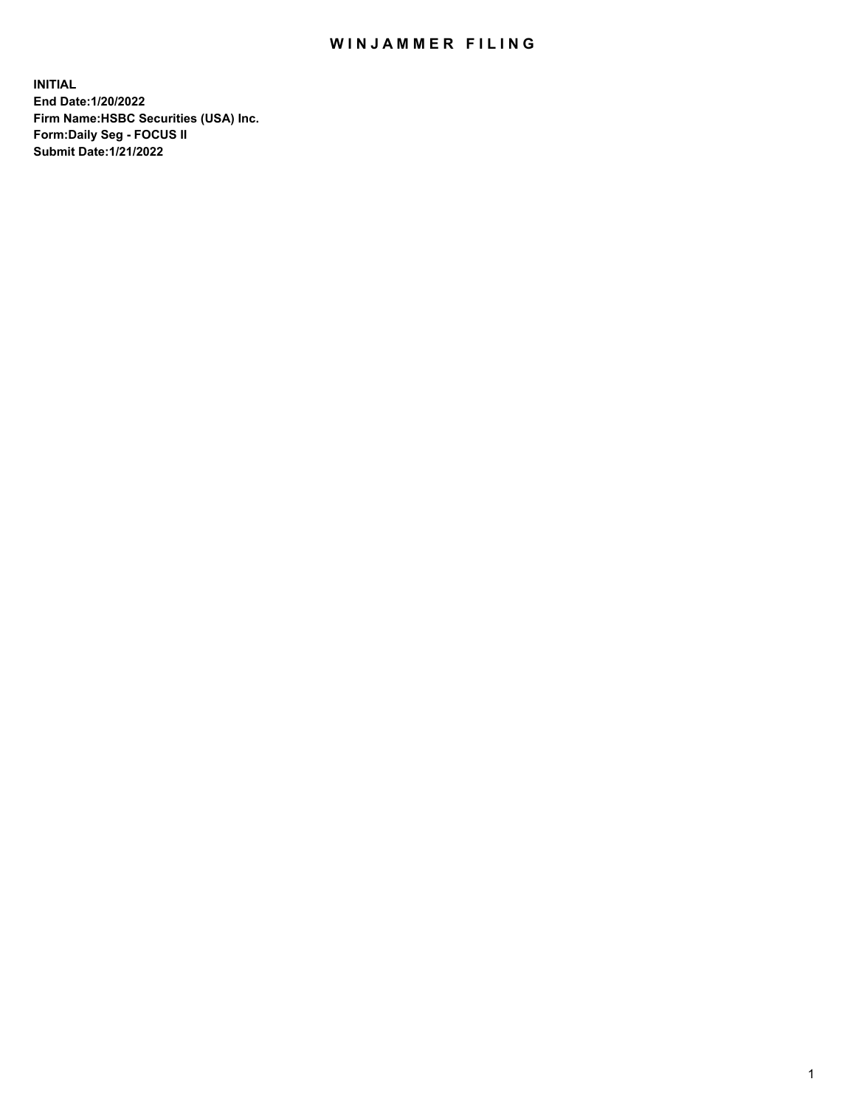## WIN JAMMER FILING

**INITIAL End Date:1/20/2022 Firm Name:HSBC Securities (USA) Inc. Form:Daily Seg - FOCUS II Submit Date:1/21/2022**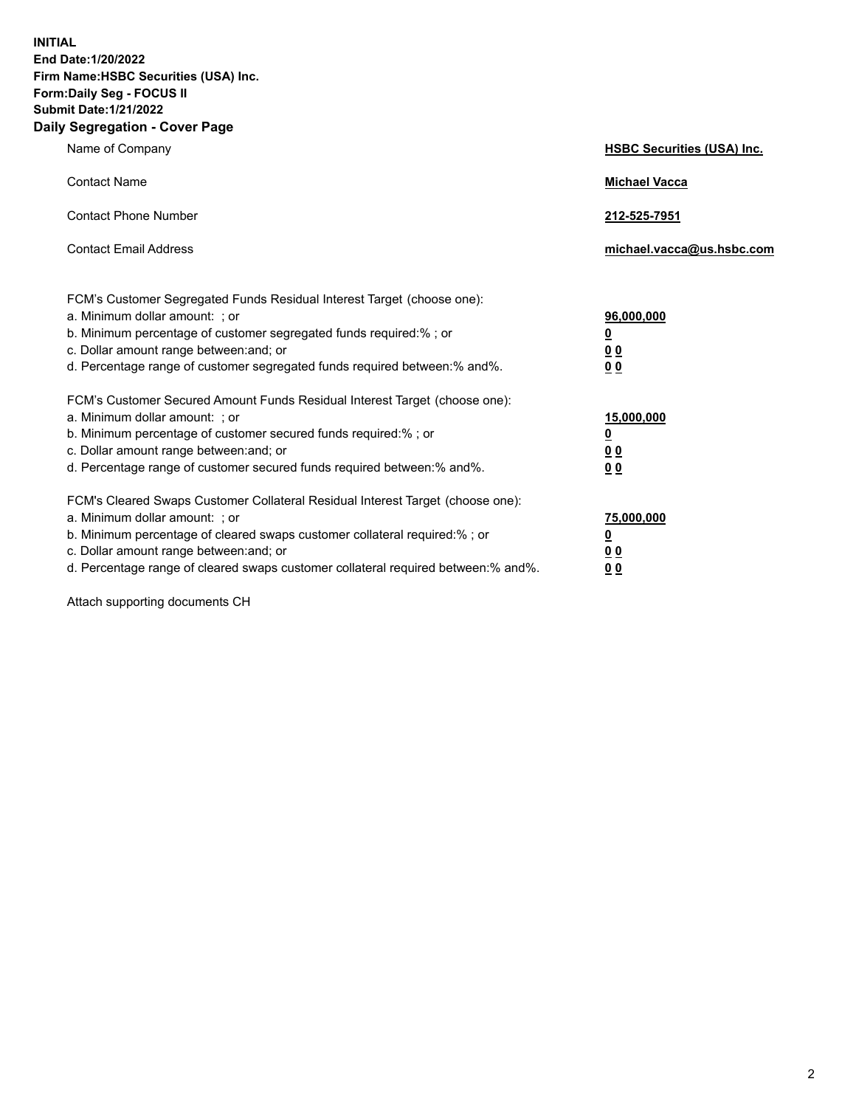**INITIAL End Date:1/20/2022 Firm Name:HSBC Securities (USA) Inc. Form:Daily Seg - FOCUS II Submit Date:1/21/2022 Daily Segregation - Cover Page**

| Name of Company                                                                                                                                                                                                                                                                                                                | <b>HSBC Securities (USA) Inc.</b>              |
|--------------------------------------------------------------------------------------------------------------------------------------------------------------------------------------------------------------------------------------------------------------------------------------------------------------------------------|------------------------------------------------|
| <b>Contact Name</b>                                                                                                                                                                                                                                                                                                            | <b>Michael Vacca</b>                           |
| <b>Contact Phone Number</b>                                                                                                                                                                                                                                                                                                    | 212-525-7951                                   |
| <b>Contact Email Address</b>                                                                                                                                                                                                                                                                                                   | michael.vacca@us.hsbc.com                      |
| FCM's Customer Segregated Funds Residual Interest Target (choose one):<br>a. Minimum dollar amount: ; or<br>b. Minimum percentage of customer segregated funds required:%; or<br>c. Dollar amount range between: and; or<br>d. Percentage range of customer segregated funds required between:% and%.                          | 96,000,000<br><u>0</u><br>0 <sub>0</sub><br>00 |
| FCM's Customer Secured Amount Funds Residual Interest Target (choose one):<br>a. Minimum dollar amount: ; or<br>b. Minimum percentage of customer secured funds required:%; or<br>c. Dollar amount range between: and; or<br>d. Percentage range of customer secured funds required between:% and%.                            | 15,000,000<br><u>0</u><br>0 <sub>0</sub><br>00 |
| FCM's Cleared Swaps Customer Collateral Residual Interest Target (choose one):<br>a. Minimum dollar amount: ; or<br>b. Minimum percentage of cleared swaps customer collateral required:% ; or<br>c. Dollar amount range between: and; or<br>d. Percentage range of cleared swaps customer collateral required between:% and%. | 75,000,000<br><u>0</u><br><u>00</u><br>00      |

Attach supporting documents CH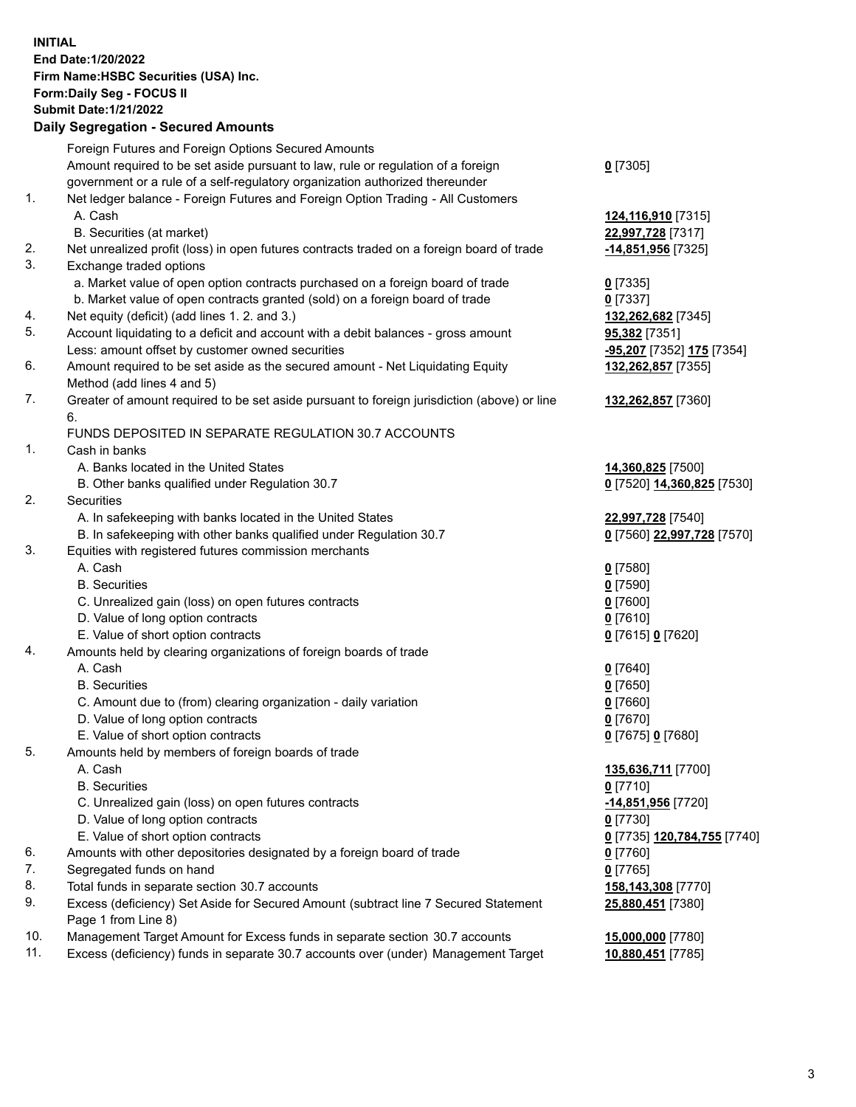**INITIAL End Date:1/20/2022 Firm Name:HSBC Securities (USA) Inc. Form:Daily Seg - FOCUS II Submit Date:1/21/2022 Daily Segregation - Secured Amounts** Foreign Futures and Foreign Options Secured Amounts Amount required to be set aside pursuant to law, rule or regulation of a foreign government or a rule of a self-regulatory organization authorized thereunder **0** [7305] 1. Net ledger balance - Foreign Futures and Foreign Option Trading - All Customers A. Cash **124,116,910** [7315] B. Securities (at market) **22,997,728** [7317] 2. Net unrealized profit (loss) in open futures contracts traded on a foreign board of trade **-14,851,956** [7325] 3. Exchange traded options a. Market value of open option contracts purchased on a foreign board of trade **0** [7335] b. Market value of open contracts granted (sold) on a foreign board of trade **0** [7337] 4. Net equity (deficit) (add lines 1. 2. and 3.) **132,262,682** [7345] 5. Account liquidating to a deficit and account with a debit balances - gross amount **95,382** [7351] Less: amount offset by customer owned securities **-95,207** [7352] **175** [7354] 6. Amount required to be set aside as the secured amount - Net Liquidating Equity Method (add lines 4 and 5) **132,262,857** [7355] 7. Greater of amount required to be set aside pursuant to foreign jurisdiction (above) or line 6. **132,262,857** [7360] FUNDS DEPOSITED IN SEPARATE REGULATION 30.7 ACCOUNTS 1. Cash in banks A. Banks located in the United States **14,360,825** [7500] B. Other banks qualified under Regulation 30.7 **0** [7520] **14,360,825** [7530] 2. Securities A. In safekeeping with banks located in the United States **22,997,728** [7540] B. In safekeeping with other banks qualified under Regulation 30.7 **0** [7560] **22,997,728** [7570] 3. Equities with registered futures commission merchants A. Cash **0** [7580] B. Securities **0** [7590] C. Unrealized gain (loss) on open futures contracts **0** [7600] D. Value of long option contracts **0** [7610] E. Value of short option contracts **0** [7615] **0** [7620] 4. Amounts held by clearing organizations of foreign boards of trade A. Cash **0** [7640] B. Securities **0** [7650] C. Amount due to (from) clearing organization - daily variation **0** [7660] D. Value of long option contracts **0** [7670] E. Value of short option contracts **0** [7675] **0** [7680] 5. Amounts held by members of foreign boards of trade A. Cash **135,636,711** [7700] B. Securities **0** [7710] C. Unrealized gain (loss) on open futures contracts **-14,851,956** [7720] D. Value of long option contracts **0** [7730] E. Value of short option contracts **0** [7735] **120,784,755** [7740] 6. Amounts with other depositories designated by a foreign board of trade **0** [7760] 7. Segregated funds on hand **0** [7765] 8. Total funds in separate section 30.7 accounts **158,143,308** [7770] 9. Excess (deficiency) Set Aside for Secured Amount (subtract line 7 Secured Statement Page 1 from Line 8) **25,880,451** [7380] 10. Management Target Amount for Excess funds in separate section 30.7 accounts **15,000,000** [7780]

11. Excess (deficiency) funds in separate 30.7 accounts over (under) Management Target **10,880,451** [7785]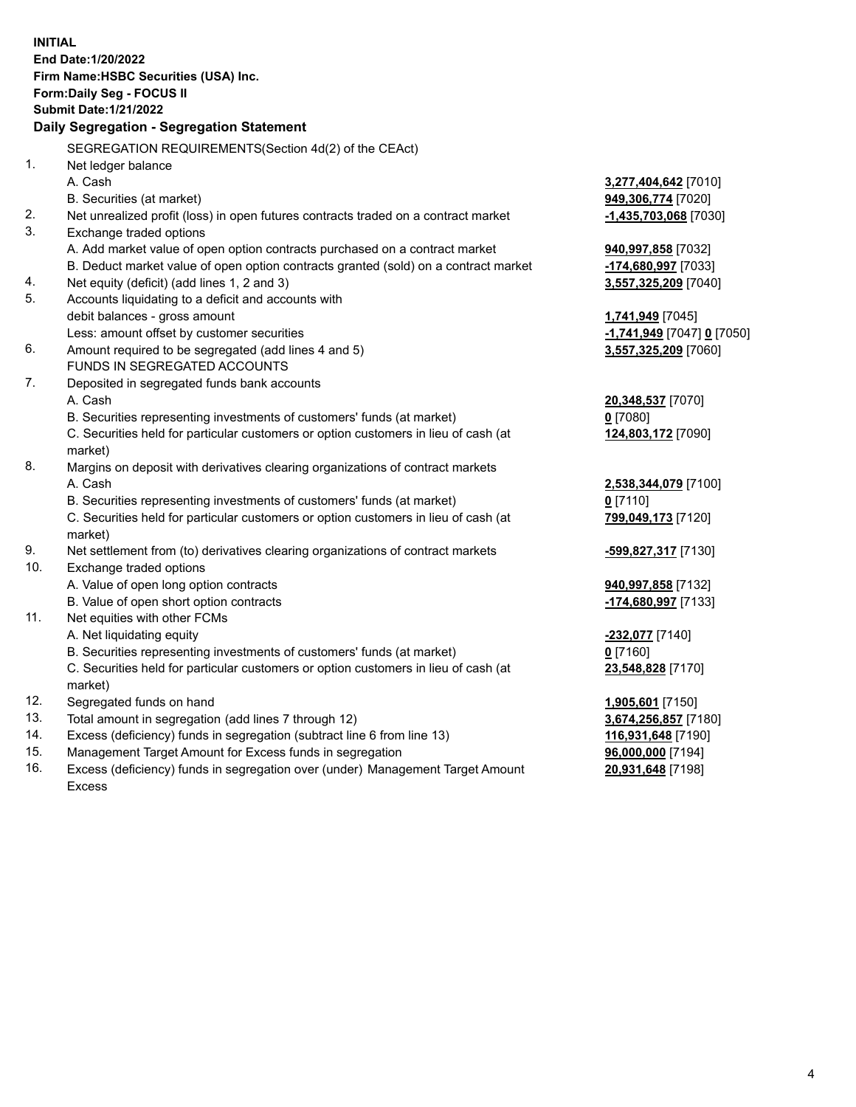|            | <b>INITIAL</b>                                                                      |                                          |
|------------|-------------------------------------------------------------------------------------|------------------------------------------|
|            | End Date: 1/20/2022                                                                 |                                          |
|            | Firm Name: HSBC Securities (USA) Inc.                                               |                                          |
|            | <b>Form:Daily Seg - FOCUS II</b>                                                    |                                          |
|            | <b>Submit Date: 1/21/2022</b>                                                       |                                          |
|            | Daily Segregation - Segregation Statement                                           |                                          |
|            | SEGREGATION REQUIREMENTS (Section 4d(2) of the CEAct)                               |                                          |
| 1.         | Net ledger balance                                                                  |                                          |
|            | A. Cash                                                                             | 3,277,404,642 [7010]                     |
|            | B. Securities (at market)                                                           | <b>949,306,774</b> [7020]                |
| 2.         | Net unrealized profit (loss) in open futures contracts traded on a contract market  | -1,435,703,068 [7030]                    |
| 3.         | Exchange traded options                                                             |                                          |
|            | A. Add market value of open option contracts purchased on a contract market         | <b>940,997,858</b> [7032]                |
|            | B. Deduct market value of open option contracts granted (sold) on a contract market | -174,680,997 [7033]                      |
| 4.         | Net equity (deficit) (add lines 1, 2 and 3)                                         | 3,557,325,209 [7040]                     |
| 5.         | Accounts liquidating to a deficit and accounts with                                 |                                          |
|            | debit balances - gross amount                                                       | 1,741,949 [7045]                         |
|            | Less: amount offset by customer securities                                          | <u>-1,741,949</u> [7047] <u>0</u> [7050] |
| 6.         | Amount required to be segregated (add lines 4 and 5)                                | 3,557,325,209 [7060]                     |
|            | FUNDS IN SEGREGATED ACCOUNTS                                                        |                                          |
| 7.         | Deposited in segregated funds bank accounts                                         |                                          |
|            | A. Cash                                                                             | <b>20,348,537</b> [7070]                 |
|            | B. Securities representing investments of customers' funds (at market)              | $0$ [7080]                               |
|            | C. Securities held for particular customers or option customers in lieu of cash (at | 124,803,172 [7090]                       |
|            | market)                                                                             |                                          |
| 8.         | Margins on deposit with derivatives clearing organizations of contract markets      |                                          |
|            | A. Cash                                                                             | 2,538,344,079 [7100]                     |
|            | B. Securities representing investments of customers' funds (at market)              | $0$ [7110]                               |
|            | C. Securities held for particular customers or option customers in lieu of cash (at | 799,049,173 [7120]                       |
|            | market)                                                                             |                                          |
| 9.         | Net settlement from (to) derivatives clearing organizations of contract markets     | <u>-599,827,317</u> [7130]               |
| 10.        | Exchange traded options                                                             |                                          |
|            | A. Value of open long option contracts                                              | 940,997,858 [7132]                       |
|            | B. Value of open short option contracts                                             | -174,680,997 [7133]                      |
| 11.        | Net equities with other FCMs                                                        |                                          |
|            | A. Net liquidating equity                                                           | <mark>-232,077</mark> [7140]             |
|            | B. Securities representing investments of customers' funds (at market)              | $0$ [7160]                               |
|            | C. Securities held for particular customers or option customers in lieu of cash (at | 23,548,828 [7170]                        |
|            | market)                                                                             |                                          |
| 12.        | Segregated funds on hand                                                            | <b>1,905,601</b> [7150]                  |
| 13.        | Total amount in segregation (add lines 7 through 12)                                | 3,674,256,857 [7180]                     |
| 14.<br>15. | Excess (deficiency) funds in segregation (subtract line 6 from line 13)             | 116,931,648 [7190]                       |
|            | Management Target Amount for Excess funds in segregation                            | 96,000,000 [7194]                        |

16. Excess (deficiency) funds in segregation over (under) Management Target Amount Excess

**20,931,648** [7198]